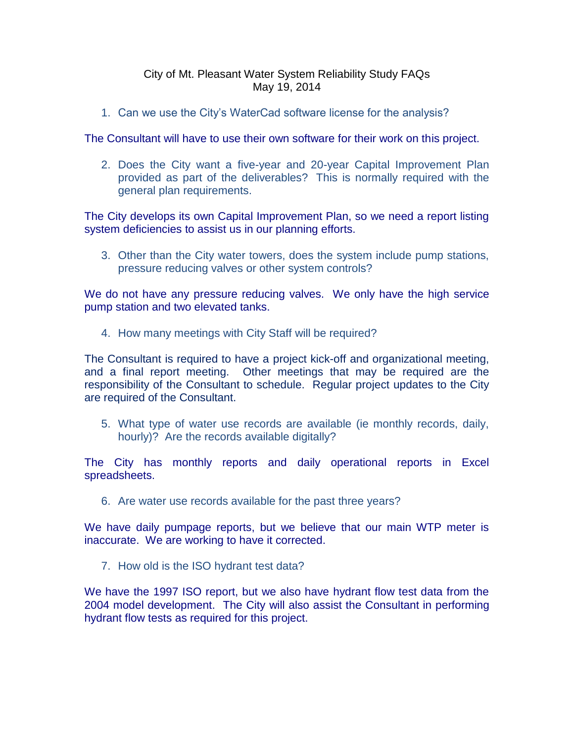## City of Mt. Pleasant Water System Reliability Study FAQs May 19, 2014

1. Can we use the City's WaterCad software license for the analysis?

The Consultant will have to use their own software for their work on this project.

2. Does the City want a five-year and 20-year Capital Improvement Plan provided as part of the deliverables? This is normally required with the general plan requirements.

The City develops its own Capital Improvement Plan, so we need a report listing system deficiencies to assist us in our planning efforts.

3. Other than the City water towers, does the system include pump stations, pressure reducing valves or other system controls?

We do not have any pressure reducing valves. We only have the high service pump station and two elevated tanks.

4. How many meetings with City Staff will be required?

The Consultant is required to have a project kick-off and organizational meeting, and a final report meeting. Other meetings that may be required are the responsibility of the Consultant to schedule. Regular project updates to the City are required of the Consultant.

5. What type of water use records are available (ie monthly records, daily, hourly)? Are the records available digitally?

The City has monthly reports and daily operational reports in Excel spreadsheets.

6. Are water use records available for the past three years?

We have daily pumpage reports, but we believe that our main WTP meter is inaccurate. We are working to have it corrected.

7. How old is the ISO hydrant test data?

We have the 1997 ISO report, but we also have hydrant flow test data from the 2004 model development. The City will also assist the Consultant in performing hydrant flow tests as required for this project.